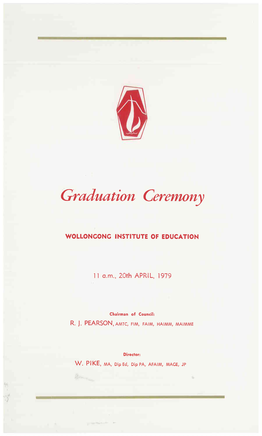

# *Graduation Ceremony*

# **WOLLONCONC INSTITUTE OF EDUCATION**

11 a.m., 20th APRIL, 1979

Chairman of Council:

R. J. PEARSON, AMTC, FIM, FAIM, HAIMM, MAIMME

Director:

×.

W. PIKE, MA, Dip Ed, Dip PA, AFAIM, MACE, JP

 $\sum_{\lambda} \lambda_{\lambda} \lambda_{\lambda} \, ,$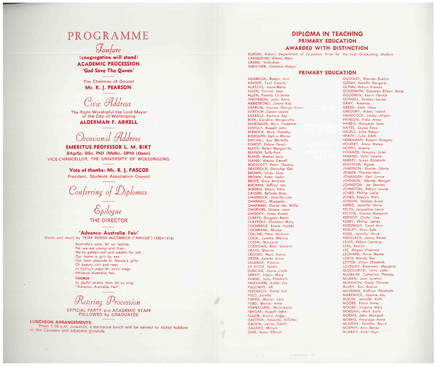# PROGRAMME

Fanfare

(congregation will stand) **ACADEMIC PROCESSION** 'God Save The Queen'

> The Chairman of Council Mr. R. I. PEARSON

Civic Address

The Right Worshipful the Lord Mayor of the City of Wollongong

### **ALDERMAN F. ARKELL**

# Occasional Address

**EMERITUS PROFESSOR L. M. BIRT** BAgrSc, BSc, PhD (Melb), DPhil (Oxon) VICE-CHANCELLOR, THE UNIVERSITY OF WOLLONGONG

> Vote of thanks: Mr. R. J. PASCOE President, Students Association Council

Conferring of Diplomas

Epilogue THE DIRECTOR

#### 'Advance Australia Fair'

Words and music by PETER DODDS McCORMICK ("AMICUS") (1834-1916)

Australia's sons, let us rejoice; For we are young and free; We've golden soil and wealth for toil Our home is girl by sea. Our land abounds in Nature's gifts Of beauty rich and rare; In hist'ry's page let ev'ry stage Advance Australia fair.

**CHORUS** In joyful strains then let us sing, "Advance Australia Fair".

Retiring Procession

OFFICIAL PARTY and ACADEMIC STAFF FOLLOWED by GRADUATES

**LUNCHEON ARRANGEMENTS:** From 1.15 p.m. onwards, a barbecue lunch will be served to ticket holders in the Canteen and adjacent grounds.

# **DIPLOMA IN TEACHING** PRIMARY EDUCATION

#### **AWARDED WITH DISTINCTION**

BURGIN, Robyn, Department of Education Prize for the best Graduating Student CARSELDINE, Glenis Mary CRANE, Vicki-Ann SHEATHER, Christine Robyn

AINGER, Paul Francis ALATZAS, Anne-Marie ALLEN, Carmel Joan ALLEN, Pamela Christine ANDERSON, Julie Anne ARMSTRONG, Janine Ray BARROW, Dianne Glenys I'rene BARTSCH ,Susan Louise BATAILLE, Barbara Joy BEEK, Caroline Margaretha BEHRINGER, Marc Frederick BENTLEY, Russell John **BERWICK, Mark Timothy** BIDDULPH, Debra Maree **BIRCHILL, Sue Michelle** BISHOP, Debra Dawn **BLACK, Helen Marguerite BLANCH, Sally-Ann BLAND, Marion Lucy** BLAND, Wayne Darrell **BODYCOTT, Peter Thomas ERADDOCK**, Sherylee Gai BROWN, Linda Jane **BROWN, Peter Leslie BRUCE, Gary Andrew** BUCHAN, Jeffrey l'an **BURDEN**, Debra Vera CAUSER, Belinda Ross CHADWICK, Jennifer Lee CHANNELL, Margaret CHAPMAN, David Ian Willis CHARTERS, Donna Joan CHIDGEY, Peter Keven CLARKE, Gregory Kevin CLAYPOLE, Christine Mary **COCHRANE, Lewis Harold** COCHRANE, Marisa **COLLINS, Peter Andrew** COOK, Janette Monica COSTA, Margaret COSTIGAN, Alan Vincent CRAIG, Shauna CROOKS, Noni Maree **CRYER, Janette Anne** DELANEY, Patricia DE ROOY, Sylvia DUNCAN, Jayne Linda EMERY, Alison Mary EVANS, Julie Elizabeth FAIRBAIRN, Adele Joy **FELLOWES, Jill** FERGUSON, David Kel FIELD, Janelle FISHER, Marian Jane FORD, Wendy Anne FORNACIARI, Maria-Lucia FRAGAR, Russell John FULLER, Kerrin Anne GACITUA, Eduardo Alfonso GALVIN, James David GARATO, Miriam GIBB, Anne Ellenor

ADAMSON, Roslyn Ann

#### **PRIMARY EDUCATION**

GILOGLEY, Rhonda Evelyn GLENN, Narelle Margaret GLYNN, Robyn Frances GOLDSMITH, Deborah Eileen Anne GOODWIN, Kevin Patrick GOSNELL, Penney Louise GRAY, Amanda GREEN, Dale Irene GREGORY, Robin Isabel HANDCOCK, Lesley Alison HANSON, Tracy Anne HARRIS, Margaret Joan HAYES, Louisa Rose HAZELL, Julie Robyn HEATH, Julie Edith HERRAMAN, Robert Gregory HOLBERT, Anne Maree HOPPO, Joanne HOWARD, Gregory John HUGHES, Vicki Lorene HURLEY, Susan Elizabeth HUTCHINS, Agnes JAMI'ESON, Sharon Gloria JENNER, Therese Ann JOHANSEN, Keri Lynne JOHNSON, Glenda Margot JOHNSTON, Ian Stanley JOHNSTON, Robyn Louise JONES, Phillip Leslie JONES, Rosslyn Mary JORDAN, Debbie Anne KEENE, Jennifer Anne KEITH, Jacqueline Lexie KELTON, Dianne Margaret KERNOT, Cindy Lisa KERRY, Phillip James KERSTHOLT, Carol Ann KEWLEY, Erica Dale KING, Jennifer Anne KNOFLACK, Joerg Rainer LAVIS, Robyn Lorraine LEAL, Roslyn LEE, Megan Vivienne LEONARD, Anne Maree LEWIS, Wendy Gai LOTTER, Jillian Elizabeth LOVEDAY, Rosemary Margaret McGOLDRICK, Terry John McGRATH, Catherine Therese McLEAN, Jean Lynette McMAHON, Gayle Therese McVEY, Kim Rosina MADDREN, Kathryn Elizabeth MARKWI'CK, Joanne Joy MISON, Jennifer Ruth MOORE, Paula Anne MOORE, Virginia Mary MORGAN, Mark Earle MORRIS, John Maxwell MORRIS, Penelope Anne MUNDAY, Timothy Bruce MURPHY, Ann Maree MURRAY, Vicki Kaye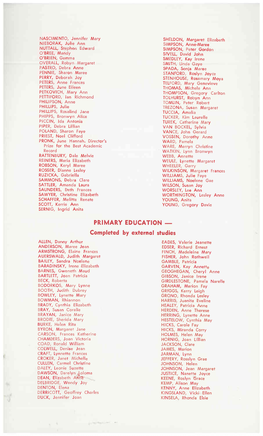NASCIMENTO, Jennifer Mary NIEBORAK, Julie Ann NUTTALL, Stephen Edward O'BREE, Mandy O'BRIEN, Gemma OUERALL, Robyn Margaret<br>PASTRO, Debra Anne<br>PENNIE, Sharon Maree PERRY, Deborah Joy<br>PETERS, Anne Frances<br>PETERS, June Eileen PETKOVICH, Mary Ann<br>PETTIFORD, Ian Richmond PHILIPSON, Anne PHILLIPS, Julie PHILLIPS, Rosalind Jane PHIPPS, Bronwyn Alice PICCIN, Ida Antonia PIPER, Debra Lillian POLAND, Sharon Faye PRIEST, Noel Clifford PRONK, June Hannah. Director's Prize for the Best Academic Record RATTENBURY, Dale Melvie REINERS, Maria Elizabeth<br>ROBSON, Keryl Maree ROSSER, Dianne Lesley RUZICKA, Gabriella<br>SAMMONS, Debra Clare SATTLER, Amanda Laura SAUNDERS, Britainea Leona<br>SAUNDERS, Beth Frances<br>SAWYER, Christine Elizabeth **SCHAFFER, Melitta Renate** SCOTT, Kerrie Ann<br>SERNIG, Ingrid Anita

SHELDON, Margaret Elizabeth SIMPSON, Anne-Maree<br>SIMPSON, Peter Gordon SIVELL, David John SMEDLEY, Kay Irene SMITH, Linda Gaye SPADA, Sonja Maree STANFORD, Roslyn Joyce<br>STENHOUSE, Rosemary Moya TELFORD, Mary Genevieve THOMAS, Michele Ann THOMPSON, Gregory Carlton TOLHURST, Robyn Ann TOMLIN, Peter Robert TREZONA, Susan Margaret TUCCIA, Amalia TUCKER, Kim Laurelle<br>TUREK, Catherine Mary VAN BOCKEL, Sylvia VANCE, John Gerard<br>VANCE, John Gerard<br>VOSSEN, Dorothy Anne WARD, Pamela<br>WARE, Merryn Christine WATKIN, Lynn Bronwyn WEBB, Annette<br>WEBB, Annette<br>WEULE, Lynette Margaret WHEELER, Garry WILKINSON, Margaret Frances WILLIAMS, Julie Faye<br>WILLIAMS, Noelene Gae WILSON, Susan Joy WORSLEY, Lee Ann **WORTHINGTON, Lesley Anne** YOUNG, Anita YOUNG, Gregory Davie

#### **PRIMARY EDUCATION ....**

#### **Completed by external studies**

ALLEN, Danny Arthur ANDERSON, Maree Jean ARMSTRONG, Elaine Frances<br>AUERSWALD, Judith Margaret **BAILEY, Sandra Noelene BARADINSKY, Irene Elizabeth** BARNES, Gweneth Maud<br>BARTLETT, Joan Patricia **BECK, Roberta** BODORKOS, Mary Lynne<br>BOOTH, Judith Dubrey<br>BOWLEY, Lynette Mary BOWMAN, Rhiannon BRADY, Cynthia Elizabeth BRAY, Susan Coralie BRAYAN, Janice Mary<br>BRODIE, Sherida Mary BURKE, Helen Rita<br>BVRON, Margaret Jane CARSON, Frances Katherine CHAMBERS, Joan Victoria COAD, Ronald William COLWELL, Denise Jean CRAFT, Lynnette Frances CROKER, Janet Michelle<br>CULLEN, Carmel Christine DALEY, Leonie Suzette<br>DAWSON, Darelyn Loloma<br>DEAN, Elizabeth Anne DELBRIDGE, Wendy Joy DENTON, Elena DERRICOTT, Geoffrey Charles<br>DUCK, Jennifer Joan

**EADES, Valerie Jeanette**<br>EDSER, Richard Ernest FINCH, Madeleine Mary FISHER, John Rothwell<br>GAMBLE, Patricia GARVEN, Kay Annette<br>GARVEN, Kay Annette<br>GEOGHEGAN, Cheryl Anne GIBSON, Janice Irene GIRDLESTONE, Pamela Narelle GRAHAM, Marion Fay GRIGGS, Kerry Leigh GRONO, Rhonda Lesley HARRIS, Juanita Eveline<br>HEALEY, Patricia Anne<br>HERDEN, Anne Therese HERRING, Lynette Anne HESTELOW, Cynthia May HICKS, Carole Fay HICKS, Miranda Corry HOLMES, Helen May<br>HORNIG, Joan Lillian JACKSON, Clare JAMES, Marion JARMAN, Lynn JEFFERY, Rosslyn Grae JOHNSON, Helen<br>JOHNSON, Jean Margaret JUSTICE, Nanette Joyce KEENE, Roslyn Grace<br>KEMP, Alison May KENNY, Anne Elizabeth<br>KINGSLAND, Vicki Ellen KI'NSELA, Rhonda Elsie